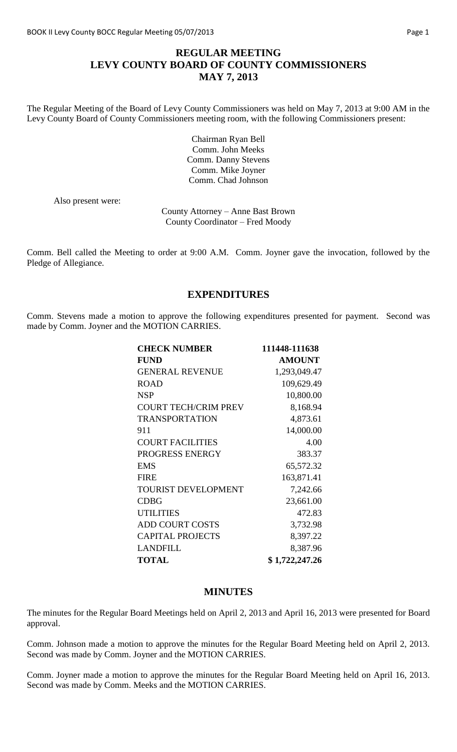# **REGULAR MEETING LEVY COUNTY BOARD OF COUNTY COMMISSIONERS MAY 7, 2013**

The Regular Meeting of the Board of Levy County Commissioners was held on May 7, 2013 at 9:00 AM in the Levy County Board of County Commissioners meeting room, with the following Commissioners present:

> Chairman Ryan Bell Comm. John Meeks Comm. Danny Stevens Comm. Mike Joyner Comm. Chad Johnson

Also present were:

County Attorney – Anne Bast Brown County Coordinator – Fred Moody

Comm. Bell called the Meeting to order at 9:00 A.M. Comm. Joyner gave the invocation, followed by the Pledge of Allegiance.

## **EXPENDITURES**

Comm. Stevens made a motion to approve the following expenditures presented for payment. Second was made by Comm. Joyner and the MOTION CARRIES.

| <b>CHECK NUMBER</b>         | 111448-111638  |
|-----------------------------|----------------|
| <b>FUND</b>                 | <b>AMOUNT</b>  |
| <b>GENERAL REVENUE</b>      | 1,293,049.47   |
| <b>ROAD</b>                 | 109,629.49     |
| <b>NSP</b>                  | 10,800.00      |
| <b>COURT TECH/CRIM PREV</b> | 8,168.94       |
| <b>TRANSPORTATION</b>       | 4,873.61       |
| 911                         | 14,000.00      |
| <b>COURT FACILITIES</b>     | 4.00           |
| PROGRESS ENERGY             | 383.37         |
| <b>EMS</b>                  | 65,572.32      |
| <b>FIRE</b>                 | 163,871.41     |
| <b>TOURIST DEVELOPMENT</b>  | 7,242.66       |
| <b>CDBG</b>                 | 23,661.00      |
| <b>UTILITIES</b>            | 472.83         |
| <b>ADD COURT COSTS</b>      | 3,732.98       |
| <b>CAPITAL PROJECTS</b>     | 8,397.22       |
| <b>LANDFILL</b>             | 8,387.96       |
| <b>TOTAL</b>                | \$1,722,247.26 |

### **MINUTES**

The minutes for the Regular Board Meetings held on April 2, 2013 and April 16, 2013 were presented for Board approval.

Comm. Johnson made a motion to approve the minutes for the Regular Board Meeting held on April 2, 2013. Second was made by Comm. Joyner and the MOTION CARRIES.

Comm. Joyner made a motion to approve the minutes for the Regular Board Meeting held on April 16, 2013. Second was made by Comm. Meeks and the MOTION CARRIES.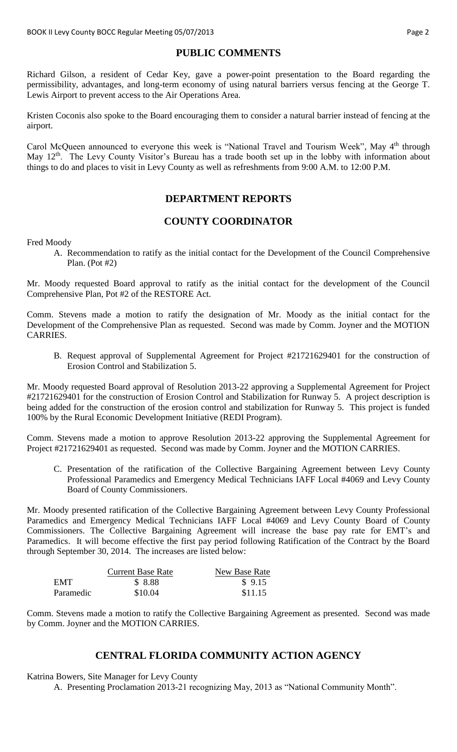# **PUBLIC COMMENTS**

Richard Gilson, a resident of Cedar Key, gave a power-point presentation to the Board regarding the permissibility, advantages, and long-term economy of using natural barriers versus fencing at the George T. Lewis Airport to prevent access to the Air Operations Area.

Kristen Coconis also spoke to the Board encouraging them to consider a natural barrier instead of fencing at the airport.

Carol McQueen announced to everyone this week is "National Travel and Tourism Week", May 4<sup>th</sup> through May 12<sup>th</sup>. The Levy County Visitor's Bureau has a trade booth set up in the lobby with information about things to do and places to visit in Levy County as well as refreshments from 9:00 A.M. to 12:00 P.M.

# **DEPARTMENT REPORTS**

## **COUNTY COORDINATOR**

Fred Moody

A. Recommendation to ratify as the initial contact for the Development of the Council Comprehensive Plan. (Pot #2)

Mr. Moody requested Board approval to ratify as the initial contact for the development of the Council Comprehensive Plan, Pot #2 of the RESTORE Act.

Comm. Stevens made a motion to ratify the designation of Mr. Moody as the initial contact for the Development of the Comprehensive Plan as requested. Second was made by Comm. Joyner and the MOTION CARRIES.

B. Request approval of Supplemental Agreement for Project #21721629401 for the construction of Erosion Control and Stabilization 5.

Mr. Moody requested Board approval of Resolution 2013-22 approving a Supplemental Agreement for Project #21721629401 for the construction of Erosion Control and Stabilization for Runway 5. A project description is being added for the construction of the erosion control and stabilization for Runway 5. This project is funded 100% by the Rural Economic Development Initiative (REDI Program).

Comm. Stevens made a motion to approve Resolution 2013-22 approving the Supplemental Agreement for Project #21721629401 as requested. Second was made by Comm. Joyner and the MOTION CARRIES.

C. Presentation of the ratification of the Collective Bargaining Agreement between Levy County Professional Paramedics and Emergency Medical Technicians IAFF Local #4069 and Levy County Board of County Commissioners.

Mr. Moody presented ratification of the Collective Bargaining Agreement between Levy County Professional Paramedics and Emergency Medical Technicians IAFF Local #4069 and Levy County Board of County Commissioners. The Collective Bargaining Agreement will increase the base pay rate for EMT's and Paramedics. It will become effective the first pay period following Ratification of the Contract by the Board through September 30, 2014. The increases are listed below:

|           | <b>Current Base Rate</b> | New Base Rate |
|-----------|--------------------------|---------------|
| EMT       | \$ 8.88                  | \$9.15        |
| Paramedic | \$10.04                  | \$11.15       |

Comm. Stevens made a motion to ratify the Collective Bargaining Agreement as presented. Second was made by Comm. Joyner and the MOTION CARRIES.

## **CENTRAL FLORIDA COMMUNITY ACTION AGENCY**

Katrina Bowers, Site Manager for Levy County

A. Presenting Proclamation 2013-21 recognizing May, 2013 as "National Community Month".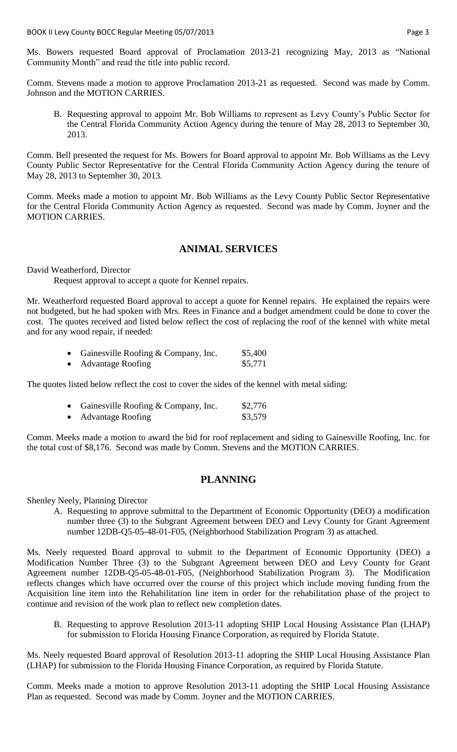Ms. Bowers requested Board approval of Proclamation 2013-21 recognizing May, 2013 as "National Community Month" and read the title into public record.

Comm. Stevens made a motion to approve Proclamation 2013-21 as requested. Second was made by Comm. Johnson and the MOTION CARRIES.

B. Requesting approval to appoint Mr. Bob Williams to represent as Levy County's Public Sector for the Central Florida Community Action Agency during the tenure of May 28, 2013 to September 30, 2013.

Comm. Bell presented the request for Ms. Bowers for Board approval to appoint Mr. Bob Williams as the Levy County Public Sector Representative for the Central Florida Community Action Agency during the tenure of May 28, 2013 to September 30, 2013.

Comm. Meeks made a motion to appoint Mr. Bob Williams as the Levy County Public Sector Representative for the Central Florida Community Action Agency as requested. Second was made by Comm. Joyner and the MOTION CARRIES.

### **ANIMAL SERVICES**

David Weatherford, Director

Request approval to accept a quote for Kennel repairs.

Mr. Weatherford requested Board approval to accept a quote for Kennel repairs. He explained the repairs were not budgeted, but he had spoken with Mrs. Rees in Finance and a budget amendment could be done to cover the cost. The quotes received and listed below reflect the cost of replacing the roof of the kennel with white metal and for any wood repair, if needed:

| Gainesville Roofing & Company, Inc. | \$5,400 |
|-------------------------------------|---------|
| <b>Advantage Roofing</b>            | \$5,771 |

The quotes listed below reflect the cost to cover the sides of the kennel with metal siding:

| • Gainesville Roofing $& Company, Inc.$ | \$2,776 |
|-----------------------------------------|---------|
| <b>Advantage Roofing</b>                | \$3,579 |

Comm. Meeks made a motion to award the bid for roof replacement and siding to Gainesville Roofing, Inc. for the total cost of \$8,176. Second was made by Comm. Stevens and the MOTION CARRIES.

#### **PLANNING**

Shenley Neely, Planning Director

A. Requesting to approve submittal to the Department of Economic Opportunity (DEO) a modification number three (3) to the Subgrant Agreement between DEO and Levy County for Grant Agreement number 12DB-Q5-05-48-01-F05, (Neighborhood Stabilization Program 3) as attached.

Ms. Neely requested Board approval to submit to the Department of Economic Opportunity (DEO) a Modification Number Three (3) to the Subgrant Agreement between DEO and Levy County for Grant Agreement number 12DB-Q5-05-48-01-F05, (Neighborhood Stabilization Program 3). The Modification reflects changes which have occurred over the course of this project which include moving funding from the Acquisition line item into the Rehabilitation line item in order for the rehabilitation phase of the project to continue and revision of the work plan to reflect new completion dates.

B. Requesting to approve Resolution 2013-11 adopting SHIP Local Housing Assistance Plan (LHAP) for submission to Florida Housing Finance Corporation, as required by Florida Statute.

Ms. Neely requested Board approval of Resolution 2013-11 adopting the SHIP Local Housing Assistance Plan (LHAP) for submission to the Florida Housing Finance Corporation, as required by Florida Statute.

Comm. Meeks made a motion to approve Resolution 2013-11 adopting the SHIP Local Housing Assistance Plan as requested. Second was made by Comm. Joyner and the MOTION CARRIES.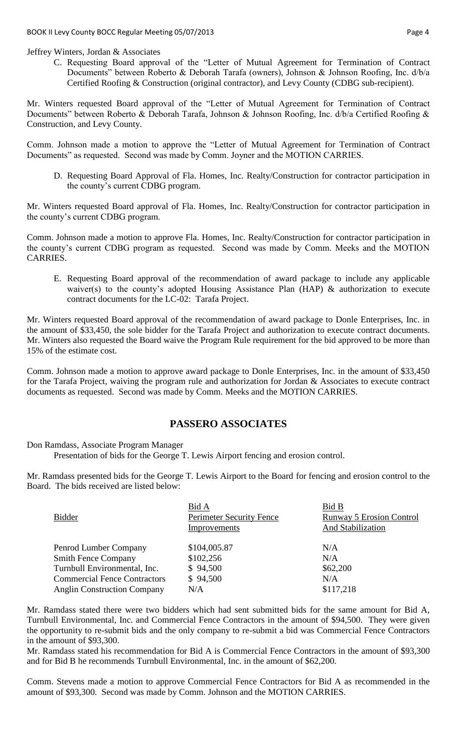C. Requesting Board approval of the "Letter of Mutual Agreement for Termination of Contract Documents" between Roberto & Deborah Tarafa (owners), Johnson & Johnson Roofing, Inc. d/b/a Certified Roofing & Construction (original contractor), and Levy County (CDBG sub-recipient).

Mr. Winters requested Board approval of the "Letter of Mutual Agreement for Termination of Contract Documents" between Roberto & Deborah Tarafa, Johnson & Johnson Roofing, Inc. d/b/a Certified Roofing & Construction, and Levy County.

Comm. Johnson made a motion to approve the "Letter of Mutual Agreement for Termination of Contract Documents" as requested. Second was made by Comm. Joyner and the MOTION CARRIES.

D. Requesting Board Approval of Fla. Homes, Inc. Realty/Construction for contractor participation in the county's current CDBG program.

Mr. Winters requested Board approval of Fla. Homes, Inc. Realty/Construction for contractor participation in the county's current CDBG program.

Comm. Johnson made a motion to approve Fla. Homes, Inc. Realty/Construction for contractor participation in the county's current CDBG program as requested. Second was made by Comm. Meeks and the MOTION CARRIES.

E. Requesting Board approval of the recommendation of award package to include any applicable waiver(s) to the county's adopted Housing Assistance Plan (HAP) & authorization to execute contract documents for the LC-02: Tarafa Project.

Mr. Winters requested Board approval of the recommendation of award package to Donle Enterprises, Inc. in the amount of \$33,450, the sole bidder for the Tarafa Project and authorization to execute contract documents. Mr. Winters also requested the Board waive the Program Rule requirement for the bid approved to be more than 15% of the estimate cost.

Comm. Johnson made a motion to approve award package to Donle Enterprises, Inc. in the amount of \$33,450 for the Tarafa Project, waiving the program rule and authorization for Jordan & Associates to execute contract documents as requested. Second was made by Comm. Meeks and the MOTION CARRIES.

## **PASSERO ASSOCIATES**

Don Ramdass, Associate Program Manager

Presentation of bids for the George T. Lewis Airport fencing and erosion control.

Mr. Ramdass presented bids for the George T. Lewis Airport to the Board for fencing and erosion control to the Board. The bids received are listed below:

| <b>Bidder</b>                       | Bid A<br>Perimeter Security Fence<br>Improvements | Bid B<br><b>Runway 5 Erosion Control</b><br>And Stabilization |
|-------------------------------------|---------------------------------------------------|---------------------------------------------------------------|
| Penrod Lumber Company               | \$104,005.87                                      | N/A                                                           |
| <b>Smith Fence Company</b>          | \$102,256                                         | N/A                                                           |
| Turnbull Environmental, Inc.        | \$94,500                                          | \$62,200                                                      |
| <b>Commercial Fence Contractors</b> | \$94,500                                          | N/A                                                           |
| <b>Anglin Construction Company</b>  | N/A                                               | \$117,218                                                     |

Mr. Ramdass stated there were two bidders which had sent submitted bids for the same amount for Bid A, Turnbull Environmental, Inc. and Commercial Fence Contractors in the amount of \$94,500. They were given the opportunity to re-submit bids and the only company to re-submit a bid was Commercial Fence Contractors in the amount of \$93,300.

Mr. Ramdass stated his recommendation for Bid A is Commercial Fence Contractors in the amount of \$93,300 and for Bid B he recommends Turnbull Environmental, Inc. in the amount of \$62,200.

Comm. Stevens made a motion to approve Commercial Fence Contractors for Bid A as recommended in the amount of \$93,300. Second was made by Comm. Johnson and the MOTION CARRIES.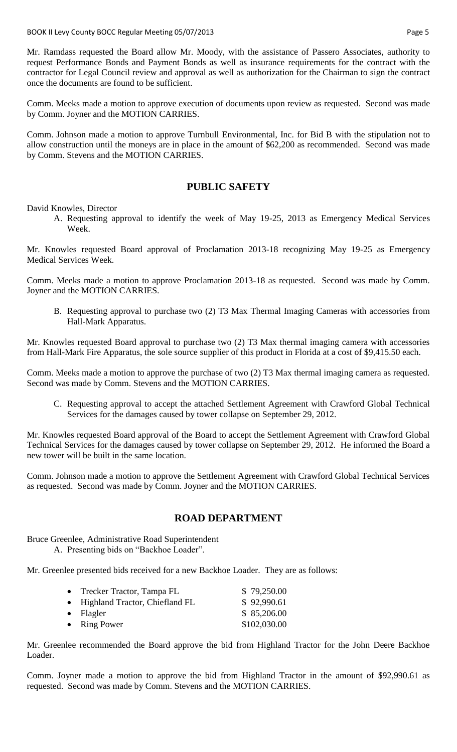Mr. Ramdass requested the Board allow Mr. Moody, with the assistance of Passero Associates, authority to request Performance Bonds and Payment Bonds as well as insurance requirements for the contract with the contractor for Legal Council review and approval as well as authorization for the Chairman to sign the contract once the documents are found to be sufficient.

Comm. Meeks made a motion to approve execution of documents upon review as requested. Second was made by Comm. Joyner and the MOTION CARRIES.

Comm. Johnson made a motion to approve Turnbull Environmental, Inc. for Bid B with the stipulation not to allow construction until the moneys are in place in the amount of \$62,200 as recommended. Second was made by Comm. Stevens and the MOTION CARRIES.

### **PUBLIC SAFETY**

David Knowles, Director

A. Requesting approval to identify the week of May 19-25, 2013 as Emergency Medical Services Week.

Mr. Knowles requested Board approval of Proclamation 2013-18 recognizing May 19-25 as Emergency Medical Services Week.

Comm. Meeks made a motion to approve Proclamation 2013-18 as requested. Second was made by Comm. Joyner and the MOTION CARRIES.

B. Requesting approval to purchase two (2) T3 Max Thermal Imaging Cameras with accessories from Hall-Mark Apparatus.

Mr. Knowles requested Board approval to purchase two (2) T3 Max thermal imaging camera with accessories from Hall-Mark Fire Apparatus, the sole source supplier of this product in Florida at a cost of \$9,415.50 each.

Comm. Meeks made a motion to approve the purchase of two (2) T3 Max thermal imaging camera as requested. Second was made by Comm. Stevens and the MOTION CARRIES.

C. Requesting approval to accept the attached Settlement Agreement with Crawford Global Technical Services for the damages caused by tower collapse on September 29, 2012.

Mr. Knowles requested Board approval of the Board to accept the Settlement Agreement with Crawford Global Technical Services for the damages caused by tower collapse on September 29, 2012. He informed the Board a new tower will be built in the same location.

Comm. Johnson made a motion to approve the Settlement Agreement with Crawford Global Technical Services as requested. Second was made by Comm. Joyner and the MOTION CARRIES.

## **ROAD DEPARTMENT**

Bruce Greenlee, Administrative Road Superintendent

A. Presenting bids on "Backhoe Loader".

Mr. Greenlee presented bids received for a new Backhoe Loader. They are as follows:

| • Trecker Tractor, Tampa FL      | \$79,250.00  |
|----------------------------------|--------------|
| • Highland Tractor, Chiefland FL | \$92,990.61  |
| $\bullet$ Flagler                | \$85,206.00  |
| • Ring Power                     | \$102,030.00 |

Mr. Greenlee recommended the Board approve the bid from Highland Tractor for the John Deere Backhoe Loader.

Comm. Joyner made a motion to approve the bid from Highland Tractor in the amount of \$92,990.61 as requested. Second was made by Comm. Stevens and the MOTION CARRIES.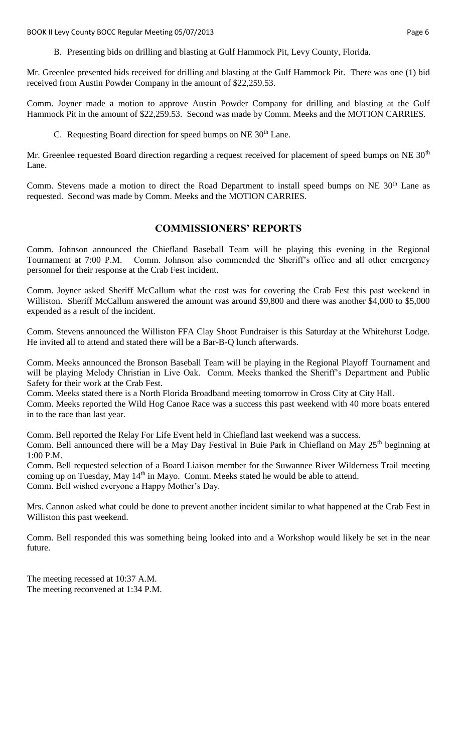BOOK II Levy County BOCC Regular Meeting 05/07/2013 **Page 6** and the state of the state of the state of the state of the state of the state of the state of the state of the state of the state of the state of the state of t

B. Presenting bids on drilling and blasting at Gulf Hammock Pit, Levy County, Florida.

Mr. Greenlee presented bids received for drilling and blasting at the Gulf Hammock Pit. There was one (1) bid received from Austin Powder Company in the amount of \$22,259.53.

Comm. Joyner made a motion to approve Austin Powder Company for drilling and blasting at the Gulf Hammock Pit in the amount of \$22,259.53. Second was made by Comm. Meeks and the MOTION CARRIES.

C. Requesting Board direction for speed bumps on NE  $30<sup>th</sup>$  Lane.

Mr. Greenlee requested Board direction regarding a request received for placement of speed bumps on NE 30<sup>th</sup> Lane.

Comm. Stevens made a motion to direct the Road Department to install speed bumps on NE 30<sup>th</sup> Lane as requested. Second was made by Comm. Meeks and the MOTION CARRIES.

### **COMMISSIONERS' REPORTS**

Comm. Johnson announced the Chiefland Baseball Team will be playing this evening in the Regional Tournament at 7:00 P.M. Comm. Johnson also commended the Sheriff's office and all other emergency personnel for their response at the Crab Fest incident.

Comm. Joyner asked Sheriff McCallum what the cost was for covering the Crab Fest this past weekend in Williston. Sheriff McCallum answered the amount was around \$9,800 and there was another \$4,000 to \$5,000 expended as a result of the incident.

Comm. Stevens announced the Williston FFA Clay Shoot Fundraiser is this Saturday at the Whitehurst Lodge. He invited all to attend and stated there will be a Bar-B-Q lunch afterwards.

Comm. Meeks announced the Bronson Baseball Team will be playing in the Regional Playoff Tournament and will be playing Melody Christian in Live Oak. Comm. Meeks thanked the Sheriff's Department and Public Safety for their work at the Crab Fest.

Comm. Meeks stated there is a North Florida Broadband meeting tomorrow in Cross City at City Hall.

Comm. Meeks reported the Wild Hog Canoe Race was a success this past weekend with 40 more boats entered in to the race than last year.

Comm. Bell reported the Relay For Life Event held in Chiefland last weekend was a success. Comm. Bell announced there will be a May Day Festival in Buie Park in Chiefland on May 25<sup>th</sup> beginning at 1:00 P.M.

Comm. Bell requested selection of a Board Liaison member for the Suwannee River Wilderness Trail meeting coming up on Tuesday, May  $14<sup>th</sup>$  in Mayo. Comm. Meeks stated he would be able to attend. Comm. Bell wished everyone a Happy Mother's Day.

Mrs. Cannon asked what could be done to prevent another incident similar to what happened at the Crab Fest in Williston this past weekend.

Comm. Bell responded this was something being looked into and a Workshop would likely be set in the near future.

The meeting recessed at 10:37 A.M. The meeting reconvened at 1:34 P.M.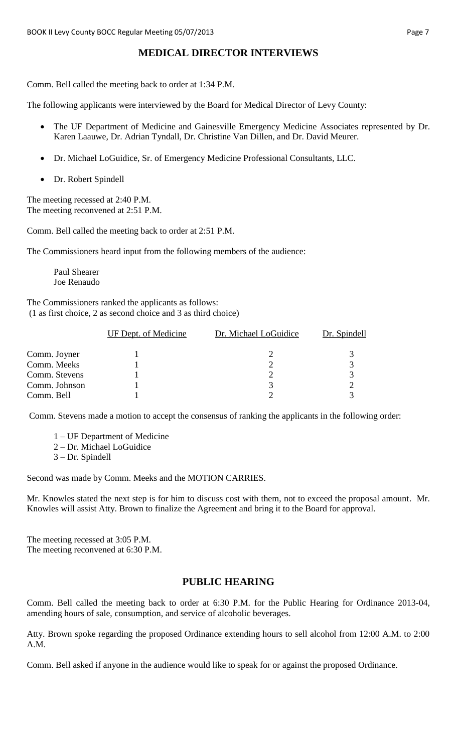# **MEDICAL DIRECTOR INTERVIEWS**

Comm. Bell called the meeting back to order at 1:34 P.M.

The following applicants were interviewed by the Board for Medical Director of Levy County:

- The UF Department of Medicine and Gainesville Emergency Medicine Associates represented by Dr. Karen Laauwe, Dr. Adrian Tyndall, Dr. Christine Van Dillen, and Dr. David Meurer.
- Dr. Michael LoGuidice, Sr. of Emergency Medicine Professional Consultants, LLC.
- Dr. Robert Spindell

The meeting recessed at 2:40 P.M. The meeting reconvened at 2:51 P.M.

Comm. Bell called the meeting back to order at 2:51 P.M.

The Commissioners heard input from the following members of the audience:

Paul Shearer Joe Renaudo

The Commissioners ranked the applicants as follows: (1 as first choice, 2 as second choice and 3 as third choice)

|               | UF Dept. of Medicine | Dr. Michael LoGuidice | Dr. Spindell |
|---------------|----------------------|-----------------------|--------------|
| Comm. Joyner  |                      |                       |              |
| Comm. Meeks   |                      |                       |              |
| Comm. Stevens |                      |                       |              |
| Comm. Johnson |                      |                       |              |
| Comm. Bell    |                      |                       |              |

Comm. Stevens made a motion to accept the consensus of ranking the applicants in the following order:

- 1 UF Department of Medicine
- 2 Dr. Michael LoGuidice
- 3 Dr. Spindell

Second was made by Comm. Meeks and the MOTION CARRIES.

Mr. Knowles stated the next step is for him to discuss cost with them, not to exceed the proposal amount. Mr. Knowles will assist Atty. Brown to finalize the Agreement and bring it to the Board for approval.

The meeting recessed at 3:05 P.M. The meeting reconvened at 6:30 P.M.

## **PUBLIC HEARING**

Comm. Bell called the meeting back to order at 6:30 P.M. for the Public Hearing for Ordinance 2013-04, amending hours of sale, consumption, and service of alcoholic beverages.

Atty. Brown spoke regarding the proposed Ordinance extending hours to sell alcohol from 12:00 A.M. to 2:00 A.M.

Comm. Bell asked if anyone in the audience would like to speak for or against the proposed Ordinance.